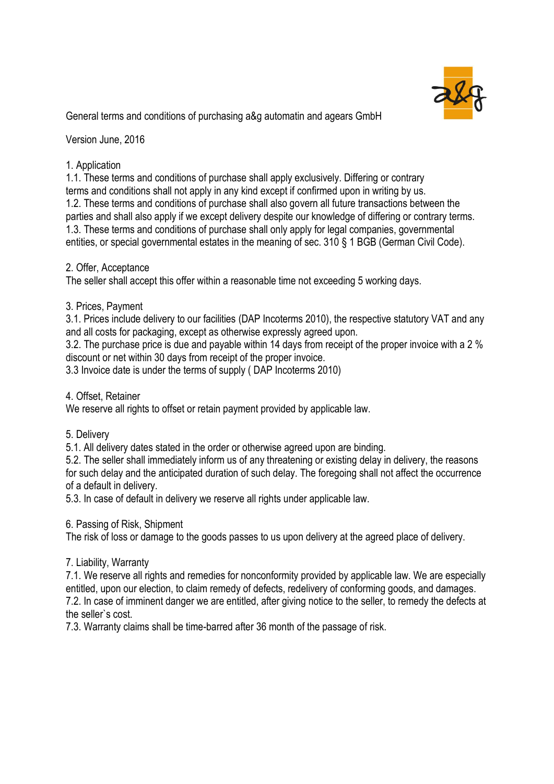

General terms and conditions of purchasing a&g automatin and agears GmbH

Version June, 2016

# 1. Application

1.1. These terms and conditions of purchase shall apply exclusively. Differing or contrary terms and conditions shall not apply in any kind except if confirmed upon in writing by us. 1.2. These terms and conditions of purchase shall also govern all future transactions between the parties and shall also apply if we except delivery despite our knowledge of differing or contrary terms. 1.3. These terms and conditions of purchase shall only apply for legal companies, governmental entities, or special governmental estates in the meaning of sec. 310 § 1 BGB (German Civil Code).

## 2. Offer, Acceptance

The seller shall accept this offer within a reasonable time not exceeding 5 working days.

## 3. Prices, Payment

3.1. Prices include delivery to our facilities (DAP Incoterms 2010), the respective statutory VAT and any and all costs for packaging, except as otherwise expressly agreed upon.

3.2. The purchase price is due and payable within 14 days from receipt of the proper invoice with a 2 % discount or net within 30 days from receipt of the proper invoice.

3.3 Invoice date is under the terms of supply ( DAP Incoterms 2010)

4. Offset, Retainer

We reserve all rights to offset or retain payment provided by applicable law.

## 5. Delivery

5.1. All delivery dates stated in the order or otherwise agreed upon are binding.

5.2. The seller shall immediately inform us of any threatening or existing delay in delivery, the reasons for such delay and the anticipated duration of such delay. The foregoing shall not affect the occurrence of a default in delivery.

5.3. In case of default in delivery we reserve all rights under applicable law.

## 6. Passing of Risk, Shipment

The risk of loss or damage to the goods passes to us upon delivery at the agreed place of delivery.

## 7. Liability, Warranty

7.1. We reserve all rights and remedies for nonconformity provided by applicable law. We are especially entitled, upon our election, to claim remedy of defects, redelivery of conforming goods, and damages. 7.2. In case of imminent danger we are entitled, after giving notice to the seller, to remedy the defects at the seller`s cost.

7.3. Warranty claims shall be time-barred after 36 month of the passage of risk.